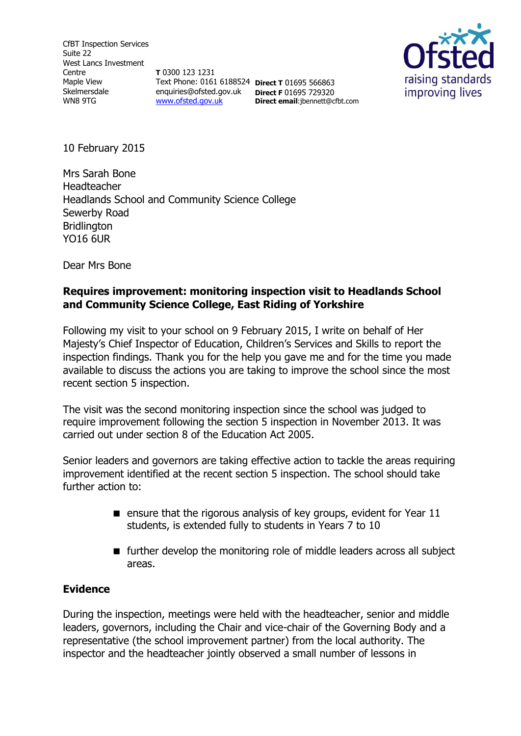CfBT Inspection Services Suite 22 West Lancs Investment Centre Maple View Skelmersdale WN8 9TG

**T** 0300 123 1231 Text Phone: 0161 6188524 **Direct T** 01695 566863 enquiries@ofsted.gov.uk **Direct F** 01695 729320 [www.ofsted.gov.uk](http://www.ofsted.gov.uk/)

**Direct email**:jbennett@cfbt.com



10 February 2015

Mrs Sarah Bone Headteacher Headlands School and Community Science College Sewerby Road **Bridlington** YO16 6UR

Dear Mrs Bone

## **Requires improvement: monitoring inspection visit to Headlands School and Community Science College, East Riding of Yorkshire**

Following my visit to your school on 9 February 2015, I write on behalf of Her Majesty's Chief Inspector of Education, Children's Services and Skills to report the inspection findings. Thank you for the help you gave me and for the time you made available to discuss the actions you are taking to improve the school since the most recent section 5 inspection.

The visit was the second monitoring inspection since the school was judged to require improvement following the section 5 inspection in November 2013. It was carried out under section 8 of the Education Act 2005.

Senior leaders and governors are taking effective action to tackle the areas requiring improvement identified at the recent section 5 inspection. The school should take further action to:

- **E** ensure that the rigorous analysis of key groups, evident for Year  $11$ students, is extended fully to students in Years 7 to 10
- $\blacksquare$  further develop the monitoring role of middle leaders across all subject areas.

## **Evidence**

During the inspection, meetings were held with the headteacher, senior and middle leaders, governors, including the Chair and vice-chair of the Governing Body and a representative (the school improvement partner) from the local authority. The inspector and the headteacher jointly observed a small number of lessons in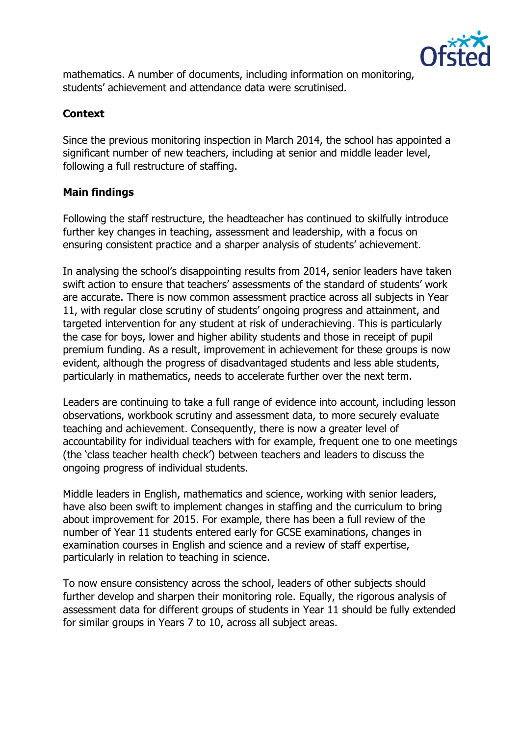

mathematics. A number of documents, including information on monitoring, students' achievement and attendance data were scrutinised.

# **Context**

Since the previous monitoring inspection in March 2014, the school has appointed a significant number of new teachers, including at senior and middle leader level, following a full restructure of staffing.

## **Main findings**

Following the staff restructure, the headteacher has continued to skilfully introduce further key changes in teaching, assessment and leadership, with a focus on ensuring consistent practice and a sharper analysis of students' achievement.

In analysing the school's disappointing results from 2014, senior leaders have taken swift action to ensure that teachers' assessments of the standard of students' work are accurate. There is now common assessment practice across all subjects in Year 11, with regular close scrutiny of students' ongoing progress and attainment, and targeted intervention for any student at risk of underachieving. This is particularly the case for boys, lower and higher ability students and those in receipt of pupil premium funding. As a result, improvement in achievement for these groups is now evident, although the progress of disadvantaged students and less able students, particularly in mathematics, needs to accelerate further over the next term.

Leaders are continuing to take a full range of evidence into account, including lesson observations, workbook scrutiny and assessment data, to more securely evaluate teaching and achievement. Consequently, there is now a greater level of accountability for individual teachers with for example, frequent one to one meetings (the 'class teacher health check') between teachers and leaders to discuss the ongoing progress of individual students.

Middle leaders in English, mathematics and science, working with senior leaders, have also been swift to implement changes in staffing and the curriculum to bring about improvement for 2015. For example, there has been a full review of the number of Year 11 students entered early for GCSE examinations, changes in examination courses in English and science and a review of staff expertise, particularly in relation to teaching in science.

To now ensure consistency across the school, leaders of other subjects should further develop and sharpen their monitoring role. Equally, the rigorous analysis of assessment data for different groups of students in Year 11 should be fully extended for similar groups in Years 7 to 10, across all subject areas.